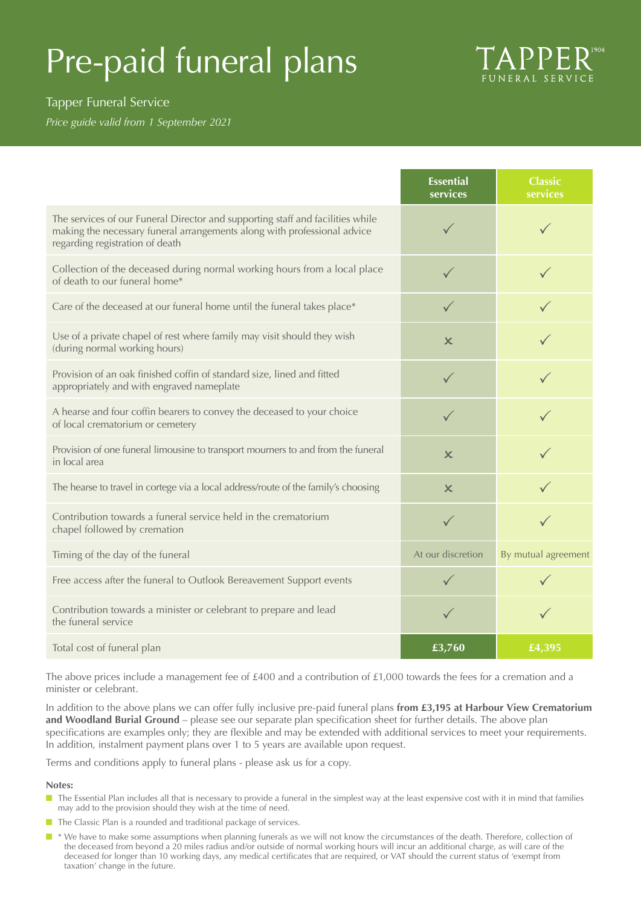# Pre-paid funeral plans



## Tapper Funeral Service

*Price guide valid from 1 September 2021*

|                                                                                                                                                                                               | <b>Essential</b><br>services | <b>Classic</b><br>services |
|-----------------------------------------------------------------------------------------------------------------------------------------------------------------------------------------------|------------------------------|----------------------------|
| The services of our Funeral Director and supporting staff and facilities while<br>making the necessary funeral arrangements along with professional advice<br>regarding registration of death | $\checkmark$                 | $\checkmark$               |
| Collection of the deceased during normal working hours from a local place<br>of death to our funeral home*                                                                                    | $\checkmark$                 | $\checkmark$               |
| Care of the deceased at our funeral home until the funeral takes place*                                                                                                                       |                              |                            |
| Use of a private chapel of rest where family may visit should they wish<br>(during normal working hours)                                                                                      | $\boldsymbol{\times}$        |                            |
| Provision of an oak finished coffin of standard size, lined and fitted<br>appropriately and with engraved nameplate                                                                           | $\checkmark$                 | $\checkmark$               |
| A hearse and four coffin bearers to convey the deceased to your choice<br>of local crematorium or cemetery                                                                                    | $\checkmark$                 |                            |
| Provision of one funeral limousine to transport mourners to and from the funeral<br>in local area                                                                                             | $\boldsymbol{\times}$        |                            |
| The hearse to travel in cortege via a local address/route of the family's choosing                                                                                                            | $\mathsf{x}$                 |                            |
| Contribution towards a funeral service held in the crematorium<br>chapel followed by cremation                                                                                                | $\checkmark$                 |                            |
| Timing of the day of the funeral                                                                                                                                                              | At our discretion            | By mutual agreement        |
| Free access after the funeral to Outlook Bereavement Support events                                                                                                                           |                              |                            |
| Contribution towards a minister or celebrant to prepare and lead<br>the funeral service                                                                                                       | $\checkmark$                 |                            |
| Total cost of funeral plan                                                                                                                                                                    | £3,760                       | £4,395                     |

The above prices include a management fee of £400 and a contribution of £1,000 towards the fees for a cremation and a minister or celebrant.

In addition to the above plans we can offer fully inclusive pre-paid funeral plans **from £3,195 at Harbour View Crematorium and Woodland Burial Ground** – please see our separate plan specification sheet for further details. The above plan specifications are examples only; they are flexible and may be extended with additional services to meet your requirements. In addition, instalment payment plans over 1 to 5 years are available upon request.

Terms and conditions apply to funeral plans - please ask us for a copy.

### **Notes:**

- The Essential Plan includes all that is necessary to provide a funeral in the simplest way at the least expensive cost with it in mind that families may add to the provision should they wish at the time of need.
- $\blacksquare$  The Classic Plan is a rounded and traditional package of services.
- **n** \* We have to make some assumptions when planning funerals as we will not know the circumstances of the death. Therefore, collection of the deceased from beyond a 20 miles radius and/or outside of normal working hours will incur an additional charge, as will care of the deceased for longer than 10 working days, any medical certificates that are required, or VAT should the current status of 'exempt from taxation' change in the future.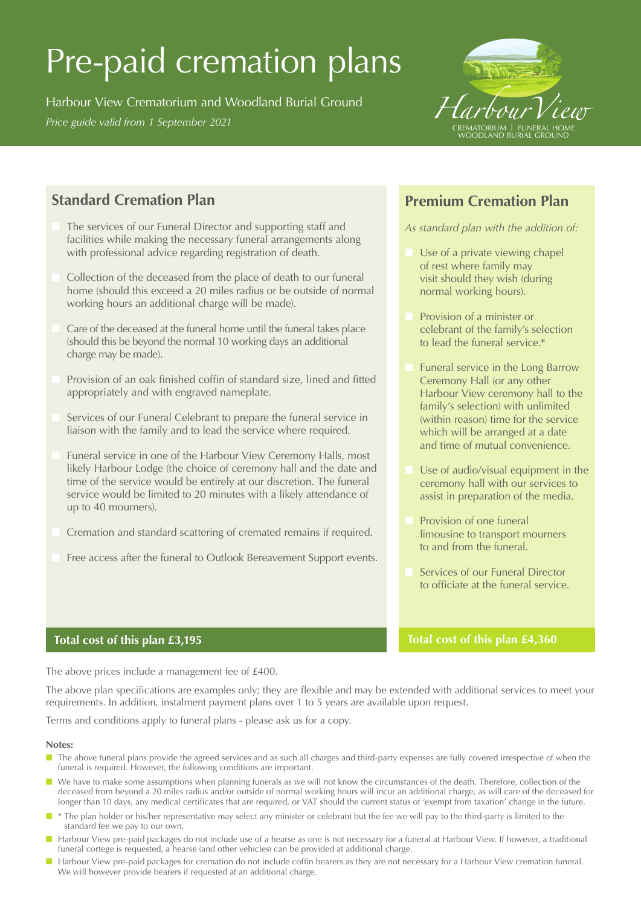# Pre-paid cremation plans

Harbour View Crematorium and Woodland Burial Ground *Price guide valid from 1 September 2021 Price guide valid from 1 September 2021* CREMATORIUM BURIAL GROUND BURIAL GROUND BURIAL GROUND BOWER WORK



# **Standard Cremation Plan**

- The services of our Funeral Director and supporting staff and facilities while making the necessary funeral arrangements along with professional advice regarding registration of death.
- Collection of the deceased from the place of death to our funeral home (should this exceed a 20 miles radius or be outside of normal working hours an additional charge will be made).
- Care of the deceased at the funeral home until the funeral takes place (should this be beyond the normal 10 working days an additional charge may be made).
- Provision of an oak finished coffin of standard size, lined and fitted appropriately and with engraved nameplate.
- Services of our Funeral Celebrant to prepare the funeral service in liaison with the family and to lead the service where required.
- Funeral service in one of the Harbour View Ceremony Halls, most likely Harbour Lodge (the choice of ceremony hall and the date and time of the service would be entirely at our discretion. The funeral service would be limited to 20 minutes with a likely attendance of up to 40 mourners).
- Cremation and standard scattering of cremated remains if required.
- Free access after the funeral to Outlook Bereavement Support events.

## **Premium Cremation Plan**

*As standard plan with the addition of:*

- Use of a private viewing chapel of rest where family may visit should they wish (during normal working hours).
- Provision of a minister or celebrant of the family's selection to lead the funeral service.\*
- Funeral service in the Long Barrow Ceremony Hall (or any other Harbour View ceremony hall to the family's selection) with unlimited (within reason) time for the service which will be arranged at a date and time of mutual convenience.
- Use of audio/visual equipment in the ceremony hall with our services to assist in preparation of the media.
- Provision of one funeral limousine to transport mourners to and from the funeral.
- Services of our Funeral Director to officiate at the funeral service.

### **Total cost of this plan £4,360**

### **Total cost of this plan £3,195**

The above prices include a management fee of £400.

The above plan specifications are examples only; they are flexible and may be extended with additional services to meet your requirements. In addition, instalment payment plans over 1 to 5 years are available upon request.

Terms and conditions apply to funeral plans - please ask us for a copy.

#### **Notes:**

- The above funeral plans provide the agreed services and as such all charges and third-party expenses are fully covered irrespective of when the funeral is required. However, the following conditions are important.
- We have to make some assumptions when planning funerals as we will not know the circumstances of the death. Therefore, collection of the deceased from beyond a 20 miles radius and/or outside of normal working hours will incur an additional charge, as will care of the deceased for longer than 10 days, any medical certificates that are required, or VAT should the current status of 'exempt from taxation' change in the future.
- \* The plan holder or his/her representative may select any minister or celebrant but the fee we will pay to the third-party is limited to the standard fee we pay to our own.
- Harbour View pre-paid packages do not include use of a hearse as one is not necessary for a funeral at Harbour View. If however, a traditional funeral cortege is requested, a hearse (and other vehicles) can be provided at additional charge.
- **n** Harbour View pre-paid packages for cremation do not include coffin bearers as they are not necessary for a Harbour View cremation funeral. We will however provide bearers if requested at an additional charge.